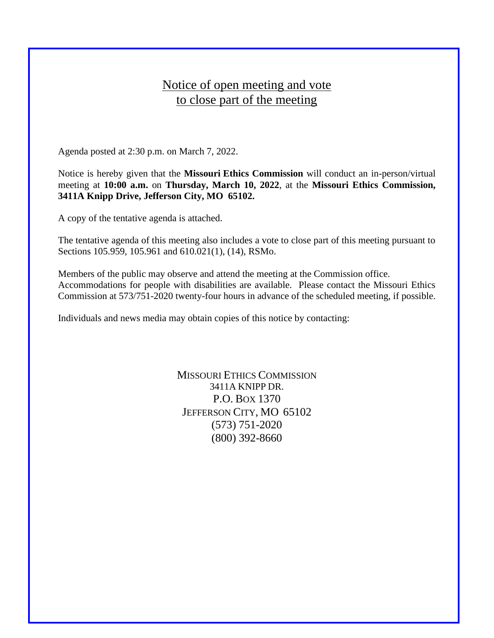## Notice of open meeting and vote to close part of the meeting

Agenda posted at 2:30 p.m. on March 7, 2022.

Notice is hereby given that the **Missouri Ethics Commission** will conduct an in-person/virtual meeting at **10:00 a.m.** on **Thursday, March 10, 2022**, at the **Missouri Ethics Commission, 3411A Knipp Drive, Jefferson City, MO 65102.**

A copy of the tentative agenda is attached.

The tentative agenda of this meeting also includes a vote to close part of this meeting pursuant to Sections 105.959, 105.961 and 610.021(1), (14), RSMo.

Members of the public may observe and attend the meeting at the Commission office. Accommodations for people with disabilities are available. Please contact the Missouri Ethics Commission at 573/751-2020 twenty-four hours in advance of the scheduled meeting, if possible.

Individuals and news media may obtain copies of this notice by contacting:

MISSOURI ETHICS COMMISSION 3411A KNIPP DR. P.O. BOX 1370 JEFFERSON CITY, MO 65102 (573) 751-2020 (800) 392-8660